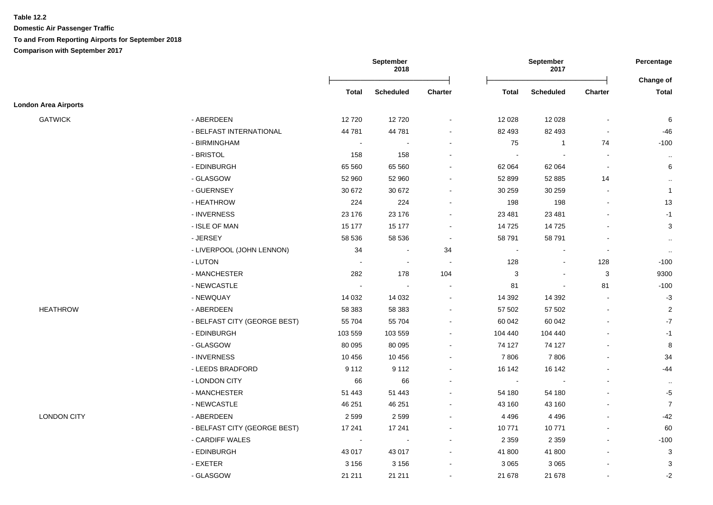|                             |                              |              | September<br>2018 | September<br>2017 |                                  |                | Percentage                |                |
|-----------------------------|------------------------------|--------------|-------------------|-------------------|----------------------------------|----------------|---------------------------|----------------|
|                             |                              | <b>Total</b> | <b>Scheduled</b>  | Charter           | <b>Total</b><br><b>Scheduled</b> | <b>Charter</b> | Change of<br><b>Total</b> |                |
| <b>London Area Airports</b> |                              |              |                   |                   |                                  |                |                           |                |
| <b>GATWICK</b>              | - ABERDEEN                   | 12720        | 12720             |                   | 12 0 28                          | 12 0 28        | $\overline{\phantom{a}}$  | 6              |
|                             | - BELFAST INTERNATIONAL      | 44 781       | 44 781            |                   | 82 493                           | 82 493         |                           | $-46$          |
|                             | - BIRMINGHAM                 |              |                   |                   | 75                               | $\overline{1}$ | 74                        | $-100$         |
|                             | - BRISTOL                    | 158          | 158               |                   |                                  |                |                           | $\cdot$ .      |
|                             | - EDINBURGH                  | 65 5 60      | 65 560            |                   | 62 064                           | 62 064         | $\sim$                    | 6              |
|                             | - GLASGOW                    | 52 960       | 52 960            |                   | 52 899                           | 52 885         | 14                        | $\cdot$ .      |
|                             | - GUERNSEY                   | 30 672       | 30 672            | $\sim$            | 30 259                           | 30 259         | $\sim$                    | $\mathbf{1}$   |
|                             | - HEATHROW                   | 224          | 224               |                   | 198                              | 198            | $\mathbf{r}$              | 13             |
|                             | - INVERNESS                  | 23 176       | 23 176            |                   | 23 4 81                          | 23 4 81        |                           | $-1$           |
|                             | - ISLE OF MAN                | 15 177       | 15 177            | $\sim$            | 14725                            | 14725          |                           | 3              |
|                             | - JERSEY                     | 58 536       | 58 536            | $\sim$            | 58 791                           | 58 791         |                           | $\sim$         |
|                             | - LIVERPOOL (JOHN LENNON)    | 34           | $\sim$            | 34                | $\blacksquare$                   | $\overline{a}$ | $\blacksquare$            | $\sim$         |
|                             | - LUTON                      |              | $\sim$            | $\sim$            | 128                              | $\blacksquare$ | 128                       | $-100$         |
|                             | - MANCHESTER                 | 282          | 178               | 104               | 3                                | $\overline{a}$ | 3                         | 9300           |
|                             | - NEWCASTLE                  |              |                   |                   | 81                               | $\blacksquare$ | 81                        | $-100$         |
|                             | - NEWQUAY                    | 14 0 32      | 14 0 32           |                   | 14 3 9 2                         | 14 3 9 2       |                           | $-3$           |
| <b>HEATHROW</b>             | - ABERDEEN                   | 58 383       | 58 383            |                   | 57 502                           | 57 502         | $\sim$                    | $\overline{c}$ |
|                             | - BELFAST CITY (GEORGE BEST) | 55 704       | 55 704            | $\sim$            | 60 042                           | 60 042         |                           | $-7$           |
|                             | - EDINBURGH                  | 103 559      | 103 559           |                   | 104 440                          | 104 440        |                           | $-1$           |
|                             | - GLASGOW                    | 80 095       | 80 095            |                   | 74 127                           | 74 127         |                           | 8              |
|                             | - INVERNESS                  | 10 456       | 10 456            |                   | 7806                             | 7806           |                           | 34             |
|                             | - LEEDS BRADFORD             | 9 1 1 2      | 9 1 1 2           | $\sim$            | 16 142                           | 16 142         |                           | -44            |
|                             | - LONDON CITY                | 66           | 66                |                   | $\blacksquare$                   | $\blacksquare$ |                           | $\cdot$ .      |
|                             | - MANCHESTER                 | 51 4 43      | 51 443            |                   | 54 180                           | 54 180         |                           | $-5$           |
|                             | - NEWCASTLE                  | 46 251       | 46 251            |                   | 43 160                           | 43 160         |                           | $\overline{7}$ |
| <b>LONDON CITY</b>          | - ABERDEEN                   | 2599         | 2 5 9 9           |                   | 4 4 9 6                          | 4 4 9 6        |                           | $-42$          |
|                             | - BELFAST CITY (GEORGE BEST) | 17 241       | 17 241            |                   | 10771                            | 10771          |                           | 60             |
|                             | - CARDIFF WALES              | $\sim$       |                   |                   | 2 3 5 9                          | 2 3 5 9        |                           | $-100$         |
|                             | - EDINBURGH                  | 43 017       | 43 017            |                   | 41 800                           | 41 800         |                           | 3              |
|                             | $-$ EXETER                   | 3 1 5 6      | 3 1 5 6           |                   | 3 0 6 5                          | 3 0 6 5        |                           | 3              |
|                             | - GLASGOW                    | 21 211       | 21 211            |                   | 21 678                           | 21 678         |                           | $-2$           |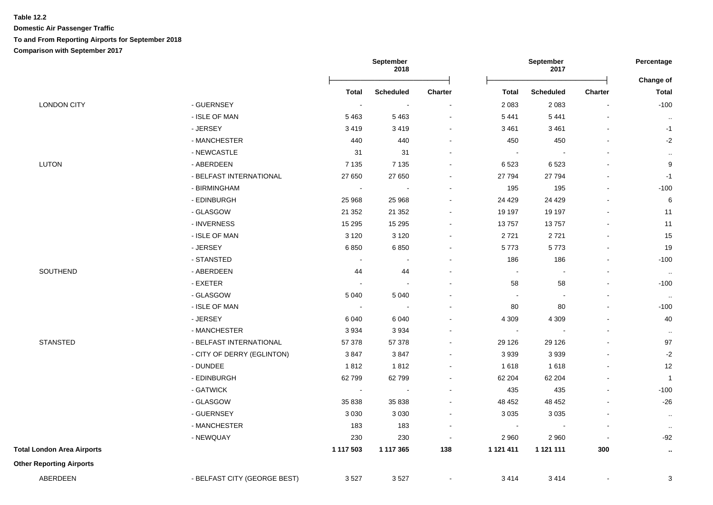**Domestic Air Passenger Traffic To and From Reporting Airports for September 2018 Comparison with September 2017**

|                                   |                              |                             | September<br>September<br>2018<br>2017 |                |                | Percentage<br>Change of  |                |                  |
|-----------------------------------|------------------------------|-----------------------------|----------------------------------------|----------------|----------------|--------------------------|----------------|------------------|
|                                   |                              | <b>Total</b>                | <b>Scheduled</b>                       | <b>Charter</b> | Total          | <b>Scheduled</b>         | Charter        | <b>Total</b>     |
| <b>LONDON CITY</b>                | - GUERNSEY                   | $\sim$                      | <b>.</b>                               |                | 2083           | 2 0 8 3                  |                | $-100$           |
|                                   | - ISLE OF MAN                | 5463                        | 5 4 6 3                                |                | 5 4 4 1        | 5 4 4 1                  |                | $\mathbf{H}$     |
|                                   | - JERSEY                     | 3419                        | 3 4 1 9                                |                | 3 4 6 1        | 3 4 6 1                  |                | $-1$             |
|                                   | - MANCHESTER                 | 440                         | 440                                    |                | 450            | 450                      |                | $-2$             |
|                                   | - NEWCASTLE                  | 31                          | 31                                     |                | $\sim$         |                          |                | $\mathbf{H}$     |
| <b>LUTON</b>                      | - ABERDEEN                   | 7 1 3 5                     | 7 1 3 5                                |                | 6523           | 6523                     |                | $\boldsymbol{9}$ |
|                                   | - BELFAST INTERNATIONAL      | 27 650                      | 27 650                                 |                | 27 794         | 27 794                   |                | $-1$             |
|                                   | - BIRMINGHAM                 | $\blacksquare$              | $\overline{\phantom{a}}$               |                | 195            | 195                      |                | $-100$           |
|                                   | - EDINBURGH                  | 25 968                      | 25 968                                 |                | 24 4 29        | 24 4 29                  |                | $\,6$            |
|                                   | - GLASGOW                    | 21 352                      | 21 3 5 2                               |                | 19 197         | 19 197                   |                | 11               |
|                                   | - INVERNESS                  | 15 2 9 5                    | 15 29 5                                |                | 13757          | 13757                    |                | 11               |
|                                   | - ISLE OF MAN                | 3 1 2 0                     | 3 1 2 0                                |                | 2721           | 2721                     |                | 15               |
|                                   | - JERSEY                     | 6850                        | 6850                                   |                | 5773           | 5773                     |                | 19               |
|                                   | - STANSTED                   | $\blacksquare$              | $\blacksquare$                         |                | 186            | 186                      |                | $-100$           |
| SOUTHEND                          | - ABERDEEN                   | 44                          | 44                                     |                | $\blacksquare$ | $\blacksquare$           |                | $\sim$           |
|                                   | - EXETER                     | $\sim$                      | $\mathcal{L}_{\mathbf{r}}$             |                | 58             | 58                       |                | $-100$           |
|                                   | - GLASGOW                    | 5 0 4 0                     | 5 0 4 0                                |                | $\sim$         | $\overline{\phantom{a}}$ |                | $\sim$           |
|                                   | - ISLE OF MAN                | $\sim$                      | $\overline{\phantom{a}}$               |                | 80             | 80                       |                | $-100$           |
|                                   | - JERSEY                     | 6 0 4 0                     | 6 0 4 0                                |                | 4 3 0 9        | 4 3 0 9                  |                | 40               |
|                                   | - MANCHESTER                 | 3934                        | 3 9 3 4                                |                | $\sim$         |                          |                | $\cdots$         |
| <b>STANSTED</b>                   | - BELFAST INTERNATIONAL      | 57 378                      | 57 378                                 |                | 29 1 26        | 29 1 26                  |                | 97               |
|                                   | - CITY OF DERRY (EGLINTON)   | 3847                        | 3847                                   |                | 3939           | 3939                     |                | $-2$             |
|                                   | - DUNDEE                     | 1812                        | 1812                                   |                | 1618           | 1618                     |                | 12               |
|                                   | - EDINBURGH                  | 62799                       | 62 799                                 |                | 62 204         | 62 204                   |                | $\overline{1}$   |
|                                   | - GATWICK                    | $\mathcal{L}_{\mathcal{A}}$ | $\overline{\phantom{a}}$               |                | 435            | 435                      |                | $-100$           |
|                                   | - GLASGOW                    | 35 838                      | 35 838                                 |                | 48 452         | 48 452                   |                | $-26$            |
|                                   | - GUERNSEY                   | 3 0 3 0                     | 3 0 3 0                                | $\sim$         | 3 0 3 5        | 3 0 3 5                  |                | $\sim$           |
|                                   | - MANCHESTER                 | 183                         | 183                                    | $\blacksquare$ | $\blacksquare$ | $\overline{\phantom{a}}$ |                | $\cdot$ .        |
|                                   | - NEWQUAY                    | 230                         | 230                                    | $\sim$         | 2960           | 2 9 6 0                  | $\blacksquare$ | $-92$            |
| <b>Total London Area Airports</b> |                              | 1 117 503                   | 1 117 365                              | 138            | 1 1 2 1 4 1 1  | 1 121 111                | 300            | $\sim$           |
| <b>Other Reporting Airports</b>   |                              |                             |                                        |                |                |                          |                |                  |
| ABERDEEN                          | - BELFAST CITY (GEORGE BEST) | 3527                        | 3527                                   |                | 3414           | 3414                     |                | 3                |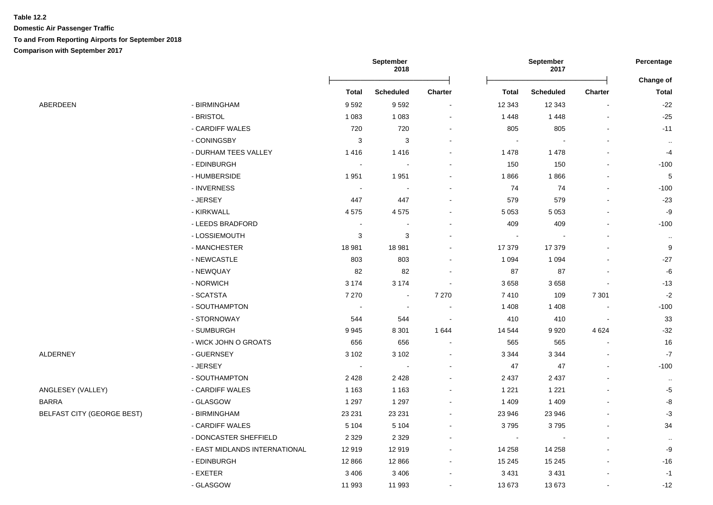|                                   |                               | September<br>2018        |                  |                | Percentage   |                          |                |                           |
|-----------------------------------|-------------------------------|--------------------------|------------------|----------------|--------------|--------------------------|----------------|---------------------------|
|                                   |                               | Total                    | <b>Scheduled</b> | <b>Charter</b> | <b>Total</b> | <b>Scheduled</b>         | <b>Charter</b> | Change of<br><b>Total</b> |
| ABERDEEN                          | - BIRMINGHAM                  | 9592                     | 9592             |                | 12 3 43      | 12 3 43                  |                | $-22$                     |
|                                   | - BRISTOL                     | 1 0 8 3                  | 1 0 8 3          |                | 1448         | 1448                     |                | $-25$                     |
|                                   | - CARDIFF WALES               | 720                      | 720              |                | 805          | 805                      |                | $-11$                     |
|                                   | - CONINGSBY                   | $\mathbf{3}$             | 3                |                |              |                          |                | $\cdot$ .                 |
|                                   | - DURHAM TEES VALLEY          | 1416                     | 1416             |                | 1478         | 1 4 7 8                  |                | $-4$                      |
|                                   | - EDINBURGH                   | $\blacksquare$           |                  |                | 150          | 150                      |                | $-100$                    |
|                                   | - HUMBERSIDE                  | 1951                     | 1 9 5 1          |                | 1866         | 1866                     |                | 5                         |
|                                   | - INVERNESS                   | $\blacksquare$           |                  |                | 74           | 74                       |                | $-100$                    |
|                                   | - JERSEY                      | 447                      | 447              |                | 579          | 579                      |                | $-23$                     |
|                                   | - KIRKWALL                    | 4575                     | 4575             |                | 5 0 5 3      | 5 0 5 3                  |                | -9                        |
|                                   | - LEEDS BRADFORD              | $\sim$                   |                  |                | 409          | 409                      |                | $-100$                    |
|                                   | - LOSSIEMOUTH                 | 3                        | 3                |                |              |                          |                | $\sim$                    |
|                                   | - MANCHESTER                  | 18 981                   | 18 981           |                | 17 379       | 17 379                   |                | 9                         |
|                                   | - NEWCASTLE                   | 803                      | 803              |                | 1 0 9 4      | 1 0 9 4                  |                | $-27$                     |
|                                   | - NEWQUAY                     | 82                       | 82               |                | 87           | 87                       |                | $\mbox{-}6$               |
|                                   | - NORWICH                     | 3 1 7 4                  | 3 1 7 4          |                | 3658         | 3658                     |                | $-13$                     |
|                                   | - SCATSTA                     | 7 2 7 0                  | $\blacksquare$   | 7 2 7 0        | 7410         | 109                      | 7 3 0 1        | $-2$                      |
|                                   | - SOUTHAMPTON                 | $\overline{\phantom{a}}$ |                  |                | 1 4 0 8      | 1 4 0 8                  |                | $-100$                    |
|                                   | - STORNOWAY                   | 544                      | 544              |                | 410          | 410                      |                | 33                        |
|                                   | - SUMBURGH                    | 9945                     | 8 3 0 1          | 1644           | 14 544       | 9920                     | 4 6 24         | $-32$                     |
|                                   | - WICK JOHN O GROATS          | 656                      | 656              |                | 565          | 565                      |                | 16                        |
| <b>ALDERNEY</b>                   | - GUERNSEY                    | 3 1 0 2                  | 3 1 0 2          |                | 3 3 4 4      | 3 3 4 4                  |                | $-7$                      |
|                                   | - JERSEY                      | $\sim$                   |                  |                | 47           | 47                       |                | $-100$                    |
|                                   | - SOUTHAMPTON                 | 2428                     | 2 4 2 8          |                | 2 4 3 7      | 2 4 3 7                  |                | $\cdot$ .                 |
| ANGLESEY (VALLEY)                 | - CARDIFF WALES               | 1 1 6 3                  | 1 1 6 3          |                | 1 2 2 1      | 1 2 2 1                  |                | $-5$                      |
| <b>BARRA</b>                      | - GLASGOW                     | 1 2 9 7                  | 1 2 9 7          |                | 1 4 0 9      | 1 4 0 9                  |                | -8                        |
| <b>BELFAST CITY (GEORGE BEST)</b> | - BIRMINGHAM                  | 23 231                   | 23 231           |                | 23 946       | 23 946                   |                | $-3$                      |
|                                   | - CARDIFF WALES               | 5 1 0 4                  | 5 1 0 4          |                | 3795         | 3795                     |                | 34                        |
|                                   | - DONCASTER SHEFFIELD         | 2 3 2 9                  | 2 3 2 9          |                | $\sim$       | $\overline{\phantom{a}}$ |                | $\ldots$                  |
|                                   | - EAST MIDLANDS INTERNATIONAL | 12919                    | 12 919           |                | 14 258       | 14 258                   |                | -9                        |
|                                   | - EDINBURGH                   | 12 8 66                  | 12 8 66          |                | 15 245       | 15 245                   |                | $-16$                     |
|                                   | - EXETER                      | 3 4 0 6                  | 3 4 0 6          |                | 3 4 3 1      | 3 4 3 1                  |                | $-1$                      |
|                                   | - GLASGOW                     | 11 993                   | 11 993           |                | 13673        | 13673                    |                | $-12$                     |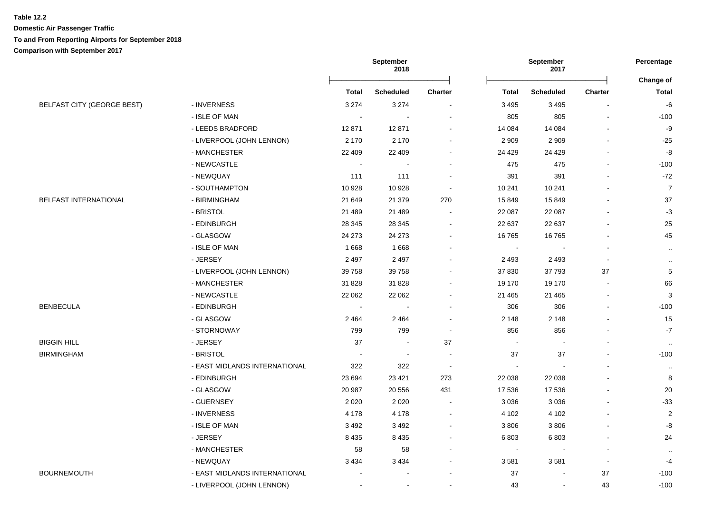**Domestic Air Passenger Traffic To and From Reporting Airports for September 2018 Comparison with September 2017**

|                                   |                               |                | September<br>2018        |                | September<br>2017        |                   |                          | Percentage                |  |
|-----------------------------------|-------------------------------|----------------|--------------------------|----------------|--------------------------|-------------------|--------------------------|---------------------------|--|
|                                   |                               | <b>Total</b>   | <b>Scheduled</b>         | <b>Charter</b> | Total                    | <b>Scheduled</b>  | Charter                  | Change of<br><b>Total</b> |  |
| <b>BELFAST CITY (GEORGE BEST)</b> | - INVERNESS                   | 3 2 7 4        | 3 2 7 4                  | $\sim$         | 3 4 9 5                  | 3 4 9 5           |                          | $-6\,$                    |  |
|                                   | - ISLE OF MAN                 | $\sim$         | $\overline{\phantom{a}}$ |                | 805                      | 805               | $\overline{a}$           | $-100$                    |  |
|                                   | - LEEDS BRADFORD              | 12871          | 12 871                   |                | 14 0 84                  |                   |                          | $-9$                      |  |
|                                   | - LIVERPOOL (JOHN LENNON)     | 2 1 7 0        | 2 170                    |                | 2 9 0 9                  | 14 084<br>2 9 0 9 |                          | $-25$                     |  |
|                                   | - MANCHESTER                  | 22 409         | 22 409                   |                | 24 4 29                  | 24 4 29           |                          | $\textnormal{-}8$         |  |
|                                   |                               |                |                          |                |                          |                   |                          |                           |  |
|                                   | - NEWCASTLE<br>- NEWQUAY      | $\blacksquare$ | $\overline{\phantom{a}}$ |                | 475                      | 475               |                          | $-100$<br>$-72$           |  |
|                                   |                               | 111            | 111                      |                | 391                      | 391               |                          |                           |  |
|                                   | - SOUTHAMPTON                 | 10 928         | 10 928                   |                | 10 241                   | 10 241            |                          | $\overline{7}$<br>37      |  |
| BELFAST INTERNATIONAL             | - BIRMINGHAM<br>- BRISTOL     | 21 649         | 21 379                   | 270<br>$\sim$  | 15849                    | 15849             |                          | $-3$                      |  |
|                                   |                               | 21 489         | 21 489                   |                | 22 087                   | 22 087            |                          |                           |  |
|                                   | - EDINBURGH                   | 28 345         | 28 345                   |                | 22 637                   | 22 637            |                          | 25                        |  |
|                                   | - GLASGOW                     | 24 273         | 24 27 3                  | $\sim$         | 16765                    | 16765             |                          | 45                        |  |
|                                   | - ISLE OF MAN                 | 1668           | 1668                     | $\sim$         | $\blacksquare$           |                   |                          | $\sim$                    |  |
|                                   | - JERSEY                      | 2 4 9 7        | 2 4 9 7                  | $\sim$         | 2493                     | 2 4 9 3           | $\blacksquare$           | $\sim$                    |  |
|                                   | - LIVERPOOL (JOHN LENNON)     | 39 758         | 39 758                   | $\blacksquare$ | 37 830                   | 37 793            | 37                       | $\sqrt{5}$                |  |
|                                   | - MANCHESTER                  | 31 828         | 31 828                   |                | 19 170                   | 19 170            | $\blacksquare$           | 66                        |  |
|                                   | - NEWCASTLE                   | 22 062         | 22 062                   | $\sim$         | 21 4 65                  | 21 4 65           | $\sim$                   | $\mathbf{3}$              |  |
| <b>BENBECULA</b>                  | - EDINBURGH                   | $\overline{a}$ | $\overline{a}$           | $\sim$         | 306                      | 306               | $\overline{a}$           | $-100$                    |  |
|                                   | - GLASGOW                     | 2 4 6 4        | 2 4 6 4                  |                | 2 1 4 8                  | 2 1 4 8           |                          | 15                        |  |
|                                   | - STORNOWAY                   | 799            | 799                      |                | 856                      | 856               |                          | $-7$                      |  |
| <b>BIGGIN HILL</b>                | - JERSEY                      | 37             |                          | 37             |                          |                   |                          | $\ldots$                  |  |
| <b>BIRMINGHAM</b>                 | - BRISTOL                     |                | $\overline{\phantom{a}}$ | $\blacksquare$ | 37                       | 37                |                          | $-100$                    |  |
|                                   | - EAST MIDLANDS INTERNATIONAL | 322            | 322                      |                |                          |                   |                          | $\sim$                    |  |
|                                   | - EDINBURGH                   | 23 694         | 23 4 21                  | 273            | 22 038                   | 22 038            |                          | 8                         |  |
|                                   | - GLASGOW                     | 20 987         | 20 556                   | 431            | 17 536                   | 17 536            |                          | 20                        |  |
|                                   | - GUERNSEY                    | 2 0 2 0        | 2 0 2 0                  | $\sim$         | 3036                     | 3 0 3 6           | $\overline{\phantom{a}}$ | $-33$                     |  |
|                                   | - INVERNESS                   | 4 1 7 8        | 4 1 7 8                  |                | 4 1 0 2                  | 4 1 0 2           |                          | $\mathbf{2}$              |  |
|                                   | - ISLE OF MAN                 | 3 4 9 2        | 3 4 9 2                  | $\sim$         | 3806                     | 3806              |                          | -8                        |  |
|                                   | - JERSEY                      | 8 4 3 5        | 8 4 3 5                  | $\blacksquare$ | 6803                     | 6803              |                          | 24                        |  |
|                                   | - MANCHESTER                  | 58             | 58                       | $\blacksquare$ | $\overline{\phantom{a}}$ |                   | $\overline{\phantom{a}}$ | $\sim$                    |  |
|                                   | - NEWQUAY                     | 3 4 3 4        | 3 4 3 4                  | $\blacksquare$ | 3581                     | 3581              | $\overline{\phantom{a}}$ | $-4$                      |  |
| <b>BOURNEMOUTH</b>                | - EAST MIDLANDS INTERNATIONAL |                |                          |                | 37                       |                   | 37                       | $-100$                    |  |
|                                   | - LIVERPOOL (JOHN LENNON)     |                | $\blacksquare$           | ÷              | 43                       | $\sim$            | 43                       | $-100$                    |  |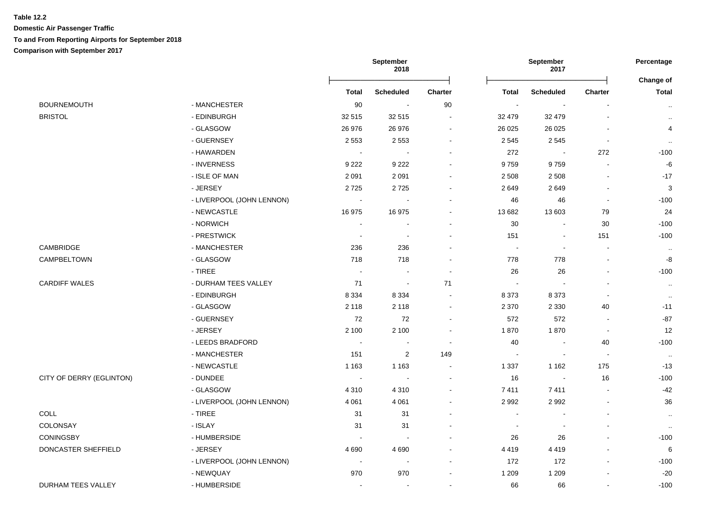|                          |                           |                            | September<br>September<br>2018<br>2017 |                          |                          | Percentage<br>Change of  |                |                   |
|--------------------------|---------------------------|----------------------------|----------------------------------------|--------------------------|--------------------------|--------------------------|----------------|-------------------|
|                          |                           | <b>Total</b>               | <b>Scheduled</b>                       | Charter                  | <b>Total</b>             | <b>Scheduled</b>         | Charter        | <b>Total</b>      |
| <b>BOURNEMOUTH</b>       | - MANCHESTER              | 90                         | $\sim$                                 | 90                       | $\overline{\phantom{a}}$ | $\overline{\phantom{a}}$ |                | $\sim$            |
| <b>BRISTOL</b>           | - EDINBURGH               | 32 515                     | 32 515                                 | $\sim$                   | 32 479                   | 32 479                   | $\blacksquare$ | $\sim$            |
|                          | - GLASGOW                 | 26 976                     | 26 976                                 | $\blacksquare$           | 26 0 25                  | 26 0 25                  | Ē,             | 4                 |
|                          | - GUERNSEY                | 2 5 5 3                    | 2 5 5 3                                | $\blacksquare$           | 2545                     | 2545                     | $\blacksquare$ | $\cdot$ .         |
|                          | - HAWARDEN                | $\sim$                     |                                        | $\blacksquare$           | 272                      | $\overline{\phantom{a}}$ | 272            | $-100$            |
|                          | - INVERNESS               | 9 2 2 2                    | 9 2 2 2                                |                          | 9759                     | 9759                     |                | $-6$              |
|                          | - ISLE OF MAN             | 2 0 9 1                    | 2 0 9 1                                | $\overline{\phantom{a}}$ | 2 5 0 8                  | 2 5 0 8                  | $\blacksquare$ | $-17$             |
|                          | - JERSEY                  | 2725                       | 2725                                   |                          | 2649                     | 2649                     | $\blacksquare$ | 3                 |
|                          | - LIVERPOOL (JOHN LENNON) | $\blacksquare$             |                                        | $\overline{\phantom{a}}$ | 46                       | 46                       | $\blacksquare$ | $-100$            |
|                          | - NEWCASTLE               | 16975                      | 16 975                                 |                          | 13 682                   | 13 603                   | 79             | 24                |
|                          | - NORWICH                 | $\blacksquare$             |                                        | $\blacksquare$           | 30                       | $\blacksquare$           | 30             | $-100$            |
|                          | - PRESTWICK               | $\sim$                     | $\sim$                                 | $\blacksquare$           | 151                      | $\overline{\phantom{a}}$ | 151            | $-100$            |
| CAMBRIDGE                | - MANCHESTER              | 236                        | 236                                    | $\blacksquare$           | $\overline{\phantom{a}}$ | $\blacksquare$           | $\blacksquare$ | $\cdot$ .         |
| CAMPBELTOWN              | - GLASGOW                 | 718                        | 718                                    | $\overline{\phantom{a}}$ | 778                      | 778                      | $\blacksquare$ | $\textnormal{-}8$ |
|                          | - TIREE                   | $\sim$                     |                                        | $\overline{\phantom{a}}$ | 26                       | 26                       | $\overline{a}$ | $-100$            |
| <b>CARDIFF WALES</b>     | - DURHAM TEES VALLEY      | 71                         | $\sim$                                 | 71                       | $\sim$                   |                          |                | $\sim$            |
|                          | - EDINBURGH               | 8 3 3 4                    | 8 3 3 4                                | $\blacksquare$           | 8373                     | 8373                     | $\blacksquare$ | $\cdot$ .         |
|                          | - GLASGOW                 | 2 1 1 8                    | 2 1 1 8                                | $\sim$                   | 2 3 7 0                  | 2 3 3 0                  | 40             | $-11$             |
|                          | - GUERNSEY                | 72                         | 72                                     | $\blacksquare$           | 572                      | 572                      | $\blacksquare$ | $-87$             |
|                          | - JERSEY                  | 2 100                      | 2 100                                  | $\tilde{\phantom{a}}$    | 1870                     | 1870                     | $\blacksquare$ | 12                |
|                          | - LEEDS BRADFORD          | $\sim$                     |                                        | $\blacksquare$           | 40                       | $\blacksquare$           | 40             | $-100$            |
|                          | - MANCHESTER              | 151                        | $\overline{2}$                         | 149                      | $\mathbf{r}$             | $\sim$                   | $\sim$         | $\sim$            |
|                          | - NEWCASTLE               | 1 1 6 3                    | 1 1 6 3                                | $\sim$                   | 1 3 3 7                  | 1 1 6 2                  | 175            | $-13$             |
| CITY OF DERRY (EGLINTON) | - DUNDEE                  | $\mathcal{L}_{\mathbf{r}}$ | $\sim$                                 | $\overline{\phantom{a}}$ | 16                       | $\overline{\phantom{a}}$ | 16             | $-100$            |
|                          | - GLASGOW                 | 4 3 1 0                    | 4 3 1 0                                | $\overline{\phantom{a}}$ | 7411                     | 7411                     | $\sim$         | $-42$             |
|                          | - LIVERPOOL (JOHN LENNON) | 4 0 61                     | 4 0 61                                 |                          | 2992                     | 2992                     | ä,             | 36                |
| <b>COLL</b>              | - TIREE                   | 31                         | 31                                     | ÷                        | $\overline{a}$           |                          | $\blacksquare$ | $\sim$            |
| COLONSAY                 | - ISLAY                   | 31                         | 31                                     | $\overline{\phantom{a}}$ | $\blacksquare$           |                          | $\blacksquare$ | $\cdot$           |
| <b>CONINGSBY</b>         | - HUMBERSIDE              | $\blacksquare$             |                                        | $\overline{a}$           | 26                       | 26                       | $\overline{a}$ | $-100$            |
| DONCASTER SHEFFIELD      | - JERSEY                  | 4690                       | 4 6 9 0                                |                          | 4419                     | 4419                     | ä,             | 6                 |
|                          | - LIVERPOOL (JOHN LENNON) | $\sim$                     |                                        | $\blacksquare$           | 172                      | 172                      | $\overline{a}$ | $-100$            |
|                          | - NEWQUAY                 | 970                        | 970                                    | $\blacksquare$           | 1 2 0 9                  | 1 2 0 9                  | $\blacksquare$ | $-20$             |
| DURHAM TEES VALLEY       | - HUMBERSIDE              | $\sim$                     | $\blacksquare$                         | $\blacksquare$           | 66                       | 66                       | $\overline{a}$ | $-100$            |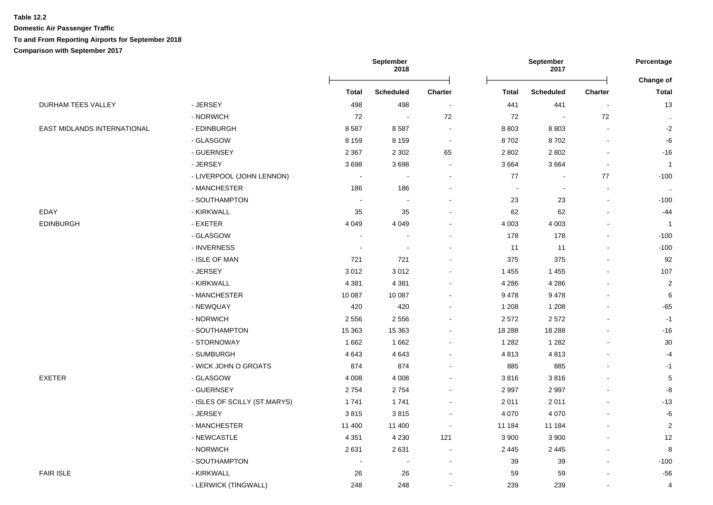**Domestic Air Passenger Traffic To and From Reporting Airports for September 2018**

**Comparison with September 2017**

**September 2018 September 2017 Percentage** Ōņņņņņņņņņņņņņņņņņņņņņņņņō Ōņņņņņņņņņņņņņņņņņņņņņņņņō **Change of Total Scheduled Charter Total Scheduled Charter Total** DURHAM TEES VALLEY CONTROLLEY THE RESEY THE SUBSEXT ASSESSED A 498 498 498 441 441 441 441 441 441 441 43 - NORWICH 72 - 72 72 - 72 .. EAST MIDLANDS INTERNATIONAL - EDINBURGH 8 587 8 587 - 8 803 8 803 - -2 - GLASGOW 8 159 8 159 - 8 702 8 702 - -6 - GUERNSEY 2 367 2 302 65 2 802 2 802 - -16 - JERSEY 3 698 3 698 - 3 664 3 664 - 1 - LIVERPOOL (JOHN LENNON) - - - 77 - 77 -100 - MANCHESTER 186 186 - - - - .. - SOUTHAMPTON - - - 23 23 - -100 EDAY - KIRKWALL 35 35 62 62 - -44 EDINBURGH - EXETER 4 049 4 049 - 4 003 4 003 - 1 - GLASGOW - - - - - - - - - - - - - - - - - 178 - 178 - - - - 100 - INVERNESS - - - 11 11 - -100 - ISLE OF MAN 721 721 - 375 375 - 92 - JERSEY 3 012 3 012 - 1 455 1 455 - 107 - KIRKWALL 4 381 4 381 - 4 286 4 286 - 2 - MANCHESTER 10 087 10 087 - 9 478 9 478 - 6 - NEWQUAY 420 420 - 1 208 1 208 - -65 - NORWICH 2 556 2 556 - 2 572 2 572 - -1 - SOUTHAMPTON 15 363 15 363 - 18 288 18 288 - -16 - STORNOWAY 1 662 1 662 - 1 282 1 282 - 30 - SUMBURGH 4 643 4 643 - 4 813 4 813 - -4 - WICK JOHN O GROATS 874 874 - 885 885 - -1 EXETER - GLASGOW 4 008 3 816 5 - GUERNSEY 2 754 2 754 - 2 997 2 997 - -8 - ISLES OF SCILLY (ST.MARYS) 4 2011 1 741 1 741 1 741 2 011 2 011 1 2 12 13 - JERSEY 3 815 3 815 - 4 070 4 070 - -6 - MANCHESTER 11 400 11 400 - 11 184 11 184 - 2 - NEWCASTLE 4 351 4 230 121 3 900 3 900 - 12 - NORWICH 2 631 2 631 - 2 445 2 445 - 8 - SOUTHAMPTON - - - 39 39 - -100 FAIR ISLE - KIRKWALL 26 26 - 59 59 - -56 - LERWICK (TINGWALL) 248 248 - 239 239 - 4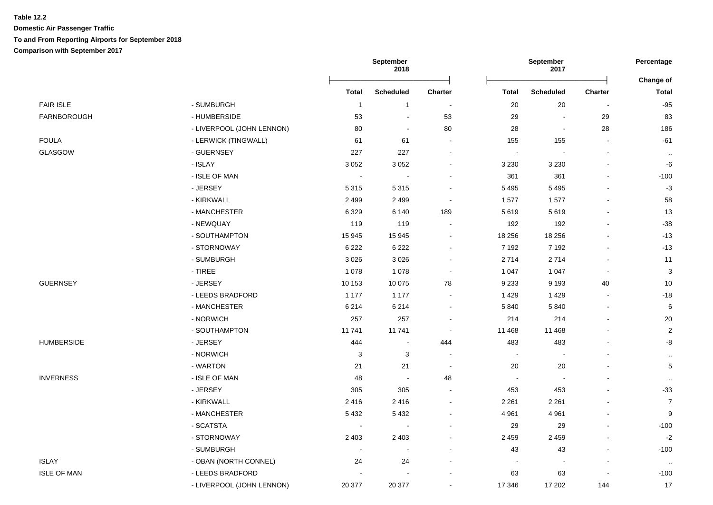|                    |                           | September<br>2018 |                          |                          | September<br>2017        |                          | Percentage               |                           |
|--------------------|---------------------------|-------------------|--------------------------|--------------------------|--------------------------|--------------------------|--------------------------|---------------------------|
|                    |                           | <b>Total</b>      | <b>Scheduled</b>         | <b>Charter</b>           | <b>Total</b>             | <b>Scheduled</b>         | <b>Charter</b>           | Change of<br><b>Total</b> |
| <b>FAIR ISLE</b>   | - SUMBURGH                | $\overline{1}$    | $\overline{1}$           | $\overline{\phantom{a}}$ | 20                       | 20                       | $\overline{\phantom{a}}$ | $-95$                     |
| FARNBOROUGH        | - HUMBERSIDE              | 53                | $\sim$                   | 53                       | 29                       | $\overline{\phantom{a}}$ | 29                       | 83                        |
|                    | - LIVERPOOL (JOHN LENNON) | 80                | $\sim$                   | 80                       | 28                       | $\blacksquare$           | 28                       | 186                       |
| <b>FOULA</b>       | - LERWICK (TINGWALL)      | 61                | 61                       | $\sim$                   | 155                      | 155                      | $\sim$                   | $-61$                     |
| <b>GLASGOW</b>     | - GUERNSEY                | 227               | 227                      | $\sim$                   | $\sim$                   |                          | $\overline{a}$           | $\cdot\cdot$              |
|                    | - ISLAY                   | 3 0 5 2           | 3 0 5 2                  | $\sim$                   | 3 2 3 0                  | 3 2 3 0                  | $\blacksquare$           | $-6$                      |
|                    | - ISLE OF MAN             |                   |                          | $\blacksquare$           | 361                      | 361                      | $\overline{a}$           | $-100$                    |
|                    | - JERSEY                  | 5 3 1 5           | 5 3 1 5                  | $\blacksquare$           | 5 4 9 5                  | 5 4 9 5                  |                          | $-3$                      |
|                    | - KIRKWALL                | 2 4 9 9           | 2 4 9 9                  | $\sim$                   | 1577                     | 1577                     | $\blacksquare$           | 58                        |
|                    | - MANCHESTER              | 6 3 2 9           | 6 140                    | 189                      | 5619                     | 5619                     | $\blacksquare$           | 13                        |
|                    | - NEWQUAY                 | 119               | 119                      | $\overline{\phantom{a}}$ | 192                      | 192                      | $\overline{a}$           | $-38$                     |
|                    | - SOUTHAMPTON             | 15 945            | 15 945                   | $\blacksquare$           | 18 25 6                  | 18 25 6                  |                          | $-13$                     |
|                    | - STORNOWAY               | 6 2 2 2           | 6 2 2 2                  | $\blacksquare$           | 7 1 9 2                  | 7 1 9 2                  | ä,                       | $-13$                     |
|                    | - SUMBURGH                | 3026              | 3 0 2 6                  | $\blacksquare$           | 2714                     | 2714                     | $\blacksquare$           | 11                        |
|                    | - TIREE                   | 1 0 7 8           | 1 0 7 8                  | $\blacksquare$           | 1 0 4 7                  | 1 0 4 7                  | $\sim$                   | $\ensuremath{\mathsf{3}}$ |
| <b>GUERNSEY</b>    | - JERSEY                  | 10 153            | 10 075                   | 78                       | 9 2 3 3                  | 9 1 9 3                  | 40                       | 10                        |
|                    | - LEEDS BRADFORD          | 1 1 7 7           | 1 1 7 7                  | $\sim$                   | 1429                     | 1429                     | $\blacksquare$           | $-18$                     |
|                    | - MANCHESTER              | 6 2 1 4           | 6 2 1 4                  | $\blacksquare$           | 5840                     | 5840                     |                          | 6                         |
|                    | - NORWICH                 | 257               | 257                      | $\blacksquare$           | 214                      | 214                      | $\overline{a}$           | 20                        |
|                    | - SOUTHAMPTON             | 11741             | 11 741                   | $\sim$                   | 11 4 68                  | 11 4 68                  | $\blacksquare$           | $\sqrt{2}$                |
| <b>HUMBERSIDE</b>  | - JERSEY                  | 444               | $\sim$                   | 444                      | 483                      | 483                      |                          | -8                        |
|                    | - NORWICH                 | $\mathbf{3}$      | $\mathbf{3}$             | $\sim$                   | $\sim$                   |                          |                          | $\ddotsc$                 |
|                    | - WARTON                  | 21                | 21                       | $\sim$                   | 20                       | 20                       |                          | $\mathbf 5$               |
| <b>INVERNESS</b>   | - ISLE OF MAN             | 48                |                          | 48                       | $\sim$                   |                          |                          | $\ddotsc$                 |
|                    | - JERSEY                  | 305               | 305                      | $\blacksquare$           | 453                      | 453                      | ä,                       | $-33$                     |
|                    | - KIRKWALL                | 2416              | 2 4 1 6                  | $\blacksquare$           | 2 2 6 1                  | 2 2 6 1                  |                          | $\overline{7}$            |
|                    | - MANCHESTER              | 5432              | 5 4 3 2                  | $\blacksquare$           | 4 9 61                   | 4 9 6 1                  | $\blacksquare$           | 9                         |
|                    | - SCATSTA                 |                   | $\sim$                   | $\blacksquare$           | 29                       | 29                       | $\blacksquare$           | $-100$                    |
|                    | - STORNOWAY               | 2 4 0 3           | 2 4 0 3                  | $\sim$                   | 2459                     | 2 4 5 9                  | $\sim$                   | $-2$                      |
|                    | - SUMBURGH                | $\sim$            | $\overline{\phantom{a}}$ | $\blacksquare$           | 43                       | 43                       | $\blacksquare$           | $-100$                    |
| <b>ISLAY</b>       | - OBAN (NORTH CONNEL)     | 24                | 24                       | $\sim$                   | $\overline{\phantom{a}}$ | $\sim$                   | $\sim$                   | $\sim$                    |
| <b>ISLE OF MAN</b> | - LEEDS BRADFORD          |                   |                          |                          | 63                       | 63                       |                          | $-100$                    |
|                    | - LIVERPOOL (JOHN LENNON) | 20 377            | 20 377                   | $\sim$                   | 17 346                   | 17 202                   | 144                      | 17                        |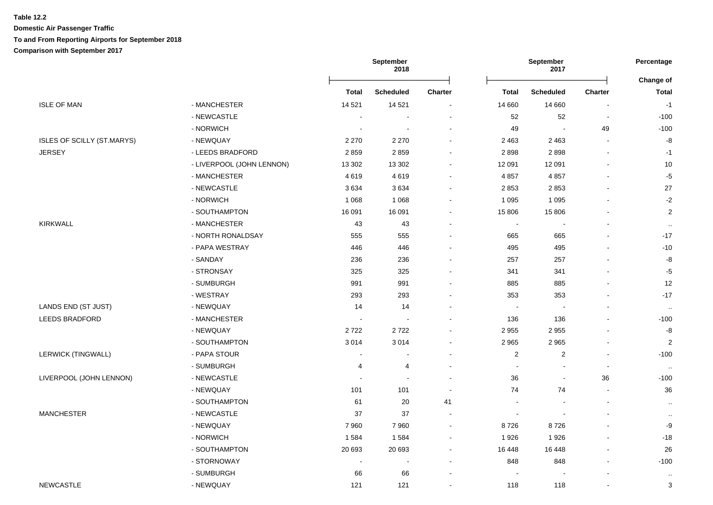**Domestic Air Passenger Traffic To and From Reporting Airports for September 2018**

**Comparison with September 2017**

|                            |                           |                          | <b>September</b><br>2018 |                              | September<br>2017        |                  | Percentage               |                           |  |
|----------------------------|---------------------------|--------------------------|--------------------------|------------------------------|--------------------------|------------------|--------------------------|---------------------------|--|
|                            |                           | <b>Total</b>             | <b>Scheduled</b>         | Charter                      | <b>Total</b>             | <b>Scheduled</b> | Charter                  | Change of<br><b>Total</b> |  |
| <b>ISLE OF MAN</b>         | - MANCHESTER              | 14 5 21                  | 14 5 21                  | $\sim$                       | 14 660                   | 14 660           | $\overline{\phantom{a}}$ | $-1$                      |  |
|                            | - NEWCASTLE               | $\overline{\phantom{a}}$ | $\blacksquare$           | $\blacksquare$               | 52                       | 52               | $\blacksquare$           | $-100$                    |  |
|                            | - NORWICH                 | $\overline{\phantom{a}}$ | $\overline{\phantom{a}}$ | $\blacksquare$               | 49                       |                  | 49                       | $-100$                    |  |
| ISLES OF SCILLY (ST.MARYS) | - NEWQUAY                 | 2 2 7 0                  | 2 2 7 0                  | $\overline{a}$               | 2 4 6 3                  | 2 4 6 3          | $\sim$                   | -8                        |  |
| <b>JERSEY</b>              | - LEEDS BRADFORD          | 2859                     | 2859                     | $\sim$                       | 2898                     | 2898             | $\sim$                   | $-1$                      |  |
|                            | - LIVERPOOL (JOHN LENNON) | 13 302                   | 13 302                   | $\blacksquare$               | 12 091                   | 12 091           |                          | 10                        |  |
|                            | - MANCHESTER              | 4619                     | 4619                     | $\blacksquare$               | 4857                     | 4 8 5 7          |                          | $-5$                      |  |
|                            | - NEWCASTLE               | 3634                     | 3634                     | $\blacksquare$               | 2853                     | 2853             | $\sim$                   | 27                        |  |
|                            | - NORWICH                 | 1 0 6 8                  | 1 0 6 8                  | $\qquad \qquad \blacksquare$ | 1 0 9 5                  | 1 0 9 5          |                          | $-2$                      |  |
|                            | - SOUTHAMPTON             | 16 091                   | 16 091                   | ä,                           | 15 806                   | 15 806           |                          | $\overline{c}$            |  |
| <b>KIRKWALL</b>            | - MANCHESTER              | 43                       | 43                       | ۰                            | $\blacksquare$           | $\blacksquare$   | $\overline{\phantom{a}}$ | $\sim$                    |  |
|                            | - NORTH RONALDSAY         | 555                      | 555                      | $\sim$                       | 665                      | 665              | $\sim$                   | $-17$                     |  |
|                            | - PAPA WESTRAY            | 446                      | 446                      | ä,                           | 495                      | 495              |                          | $-10$                     |  |
|                            | - SANDAY                  | 236                      | 236                      |                              | 257                      | 257              |                          | -8                        |  |
|                            | - STRONSAY                | 325                      | 325                      | $\blacksquare$               | 341                      | 341              |                          | $-5$                      |  |
|                            | - SUMBURGH                | 991                      | 991                      | $\blacksquare$               | 885                      | 885              | $\blacksquare$           | 12                        |  |
|                            | - WESTRAY                 | 293                      | 293                      | $\blacksquare$               | 353                      | 353              |                          | $-17$                     |  |
| LANDS END (ST JUST)        | - NEWQUAY                 | 14                       | 14                       | ۰                            | $\blacksquare$           |                  | $\blacksquare$           | $\ldots$                  |  |
| <b>LEEDS BRADFORD</b>      | - MANCHESTER              | $\sim$                   | ÷,                       | $\blacksquare$               | 136                      | 136              |                          | $-100$                    |  |
|                            | - NEWQUAY                 | 2722                     | 2722                     | $\sim$                       | 2955                     | 2955             |                          | -8                        |  |
|                            | - SOUTHAMPTON             | 3014                     | 3014                     | $\blacksquare$               | 2965                     | 2965             | $\sim$                   | $\overline{\mathbf{c}}$   |  |
| <b>LERWICK (TINGWALL)</b>  | - PAPA STOUR              | $\ddot{\phantom{a}}$     | ÷.                       | $\overline{a}$               | $\overline{2}$           | 2                | $\overline{a}$           | $-100$                    |  |
|                            | - SUMBURGH                | 4                        | $\overline{4}$           | ä,                           | $\overline{\phantom{a}}$ |                  | $\blacksquare$           | $\cdot$ .                 |  |
| LIVERPOOL (JOHN LENNON)    | - NEWCASTLE               | $\ddot{\phantom{0}}$     |                          | $\sim$                       | 36                       | $\blacksquare$   | 36                       | $-100$                    |  |
|                            | - NEWQUAY                 | 101                      | 101                      | $\sim$                       | 74                       | 74               | $\sim$                   | 36                        |  |
|                            | - SOUTHAMPTON             | 61                       | 20                       | 41                           | $\overline{\phantom{a}}$ |                  | $\sim$                   | $\sim$                    |  |
| <b>MANCHESTER</b>          | - NEWCASTLE               | 37                       | 37                       | $\sim$                       |                          |                  |                          | $\sim$                    |  |
|                            | - NEWQUAY                 | 7960                     | 7 9 6 0                  | $\sim$                       | 8726                     | 8726             | $\sim$                   | -9                        |  |
|                            | - NORWICH                 | 1584                     | 1584                     | $\blacksquare$               | 1926                     | 1926             | $\blacksquare$           | $-18$                     |  |
|                            | - SOUTHAMPTON             | 20 693                   | 20 693                   | $\sim$                       | 16 4 48                  | 16 4 48          | $\sim$                   | 26                        |  |
|                            | - STORNOWAY               | $\overline{\phantom{a}}$ | $\blacksquare$           | $\blacksquare$               | 848                      | 848              | ä,                       | $-100$                    |  |
|                            | - SUMBURGH                | 66                       | 66                       |                              |                          |                  |                          | $\ldots$                  |  |
| <b>NEWCASTLE</b>           | - NEWQUAY                 | 121                      | 121                      | $\sim$                       | 118                      | 118              | $\sim$                   | 3                         |  |
|                            |                           |                          |                          |                              |                          |                  |                          |                           |  |